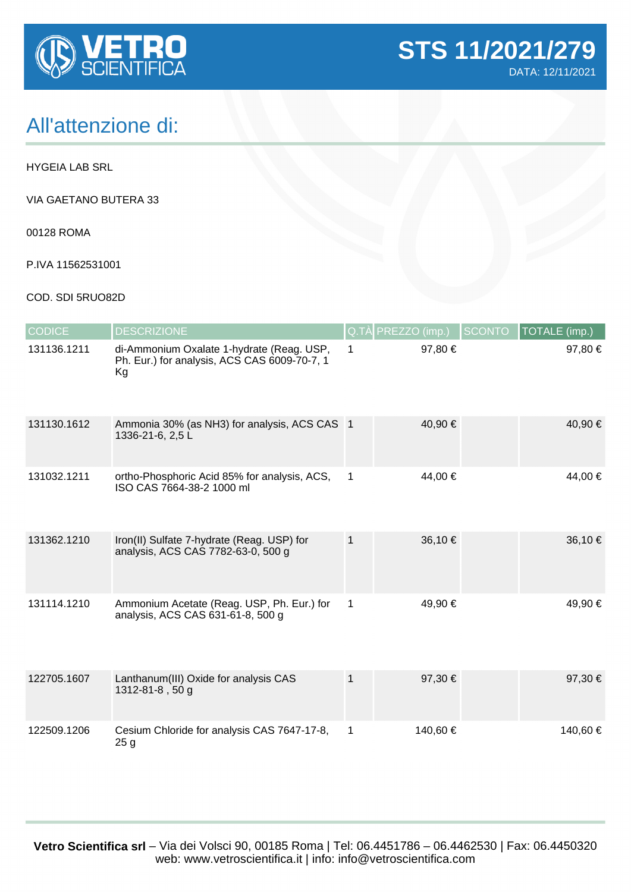

## All'attenzione di:

HYGEIA LAB SRL

VIA GAETANO BUTERA 33

00128 ROMA

P.IVA 11562531001

## COD. SDI 5RUO82D

| <b>CODICE</b> | <b>DESCRIZIONE</b>                                                                              | Q.TÀ         | PREZZO (imp.) | <b>SCONTO</b> | <b>TOTALE</b> (imp.) |
|---------------|-------------------------------------------------------------------------------------------------|--------------|---------------|---------------|----------------------|
| 131136.1211   | di-Ammonium Oxalate 1-hydrate (Reag. USP,<br>Ph. Eur.) for analysis, ACS CAS 6009-70-7, 1<br>Kg | $\mathbf{1}$ | 97,80 €       |               | 97,80 €              |
| 131130.1612   | Ammonia 30% (as NH3) for analysis, ACS CAS 1<br>1336-21-6, 2,5 L                                |              | 40,90 €       |               | 40,90 €              |
| 131032.1211   | ortho-Phosphoric Acid 85% for analysis, ACS,<br>ISO CAS 7664-38-2 1000 ml                       | $\mathbf{1}$ | 44,00 €       |               | 44,00 €              |
| 131362.1210   | Iron(II) Sulfate 7-hydrate (Reag. USP) for<br>analysis, ACS CAS 7782-63-0, 500 g                | $\mathbf{1}$ | 36,10 €       |               | 36,10 €              |
| 131114.1210   | Ammonium Acetate (Reag. USP, Ph. Eur.) for<br>analysis, ACS CAS 631-61-8, 500 g                 | $\mathbf 1$  | 49,90 €       |               | 49,90 €              |
| 122705.1607   | Lanthanum(III) Oxide for analysis CAS<br>1312-81-8, 50 g                                        | $\mathbf{1}$ | 97,30 €       |               | 97,30€               |
| 122509.1206   | Cesium Chloride for analysis CAS 7647-17-8,<br>25 g                                             | $\mathbf 1$  | 140,60 €      |               | 140,60 €             |